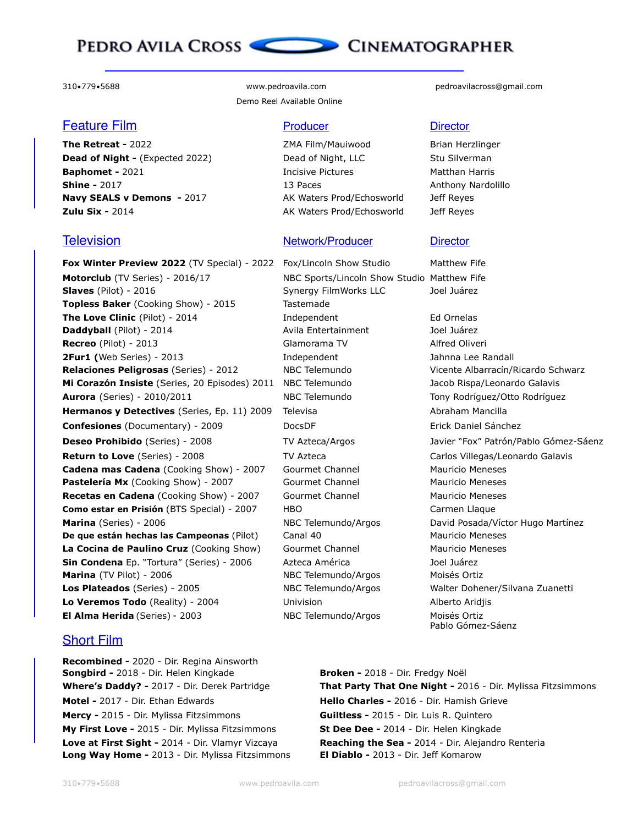## PEDRO AVILA CROSS CONEMATOGRAPHER

### **Feature Film Producer Producer Director**

**Dead of Night -** (Expected 2022) Dead of Night, LLC Stu Silverman **Baphomet - 2021 Incisive Pictures** Matthan Harris **Shine -** 2017 **13 Paces** Anthony Nardolillo **Navy SEALS v Demons - 2017** AK Waters Prod/Echosworld Jeff Reyes **Zulu Six -** 2014 **AK Waters Prod/Echosworld** Jeff Reyes

**Fox Winter Preview 2022** (TV Special) - 2022 Fox/Lincoln Show Studio Matthew Fife **Motorclub** (TV Series) - 2016/17 NBC Sports/Lincoln Show Studio Matthew Fife **Slaves** (Pilot) - 2016 Synergy FilmWorks LLC Joel Juárez **Topless Baker** (Cooking Show) - 2015 Tastemade **The Love Clinic** (Pilot) - 2014 **Independent** Ed Ornelas **Daddyball** (Pilot) - 2014 **Avila Entertainment** Joel Juárez **Recreo** (Pilot) - 2013 Glamorama TV Alfred Oliveri **2Fur1 (**Web Series) - 2013 **Independent** Jahnna Lee Randall **Relaciones Peligrosas** (Series) - 2012 MBC Telemundo Vicente Albarracín/Ricardo Schwarz Mi Corazón Insiste (Series, 20 Episodes) 2011 NBC Telemundo Jacob Rispa/Leonardo Galavis **Aurora** (Series) - 2010/2011 **NBC Telemundo** Tony Rodríguez/Otto Rodríguez **Hermanos y Detectives** (Series, Ep. 11) 2009 Televisa **Abraham Mancilla** Abraham Mancilla **Confesiones** (Documentary) - 2009 DocsDF **DocsDF** Erick Daniel Sánchez **Deseo Prohibido** (Series) - 2008 TV Azteca/Argos Javier "Fox" Patrón/Pablo Gómez-Sáenz **Return to Love** (Series) - 2008 TV Azteca Carlos Villegas/Leonardo Galavis **Cadena mas Cadena** (Cooking Show) - 2007 Gourmet Channel Mauricio Meneses Pastelería Mx (Cooking Show) - 2007 Gourmet Channel Mauricio Meneses **Recetas en Cadena** (Cooking Show) - 2007 Gourmet Channel Mauricio Meneses **Como estar en Prisión** (BTS Special) - 2007 HBO Carmen Llaque **Marina** (Series) - 2006 **NBC Telemundo/Argos** David Posada/Víctor Hugo Martínez **De que están hechas las Campeonas** (Pilot) Canal 40 Mauricio Meneses **La Cocina de Paulino Cruz** (Cooking Show) Gourmet Channel Mauricio Meneses **Sin Condena** Ep. "Tortura" (Series) - 2006 Azteca América Joel Juárez **Marina** (TV Pilot) - 2006 **NBC Telemundo/Argos** Moisés Ortiz **Los Plateados** (Series) - 2005 NBC Telemundo/Argos Walter Dohener/Silvana Zuanetti **Lo Veremos Todo** (Reality) - 2004 Univision **Alberto Aridjis** Alberto Aridjis **El Alma Herida** (Series) - 2003 NBC Telemundo/Argos Moisés Ortiz

### Short Film

**Recombined -** 2020 - Dir. Regina Ainsworth **Songbird -** 2018 - Dir. Helen Kingkade **Broken -** 2018 - Dir. Fredgy Noël **Motel -** 2017 - Dir. Ethan Edwards **Hello Charles -** 2016 - Dir. Hamish Grieve **Mercy -** 2015 - Dir. Mylissa Fitzsimmons **Guiltless -** 2015 - Dir. Luis R. Quintero **My First Love -** 2015 - Dir. Mylissa Fitzsimmons **St Dee Dee -** 2014 - Dir. Helen Kingkade **Long Way Home -** 2013 - Dir. Mylissa Fitzsimmons **El Diablo -** 2013 - Dir. Jeff Komarow

Demo Reel Available Online

**The Retreat - 2022 Conserverse EXAL EXAM** Film/Mauiwood Brian Herzlinger

### **Television Network/Producer Director**

310•779•5688 www.pedroavila.com pedroavilacross@gmail.com

Pablo Gómez-Sáenz

**Where's Daddy? -** 2017 - Dir. Derek Partridge **That Party That One Night -** 2016 - Dir. Mylissa Fitzsimmons **Love at First Sight -** 2014 - Dir. Vlamyr Vizcaya **Reaching the Sea -** 2014 - Dir. Alejandro Renteria